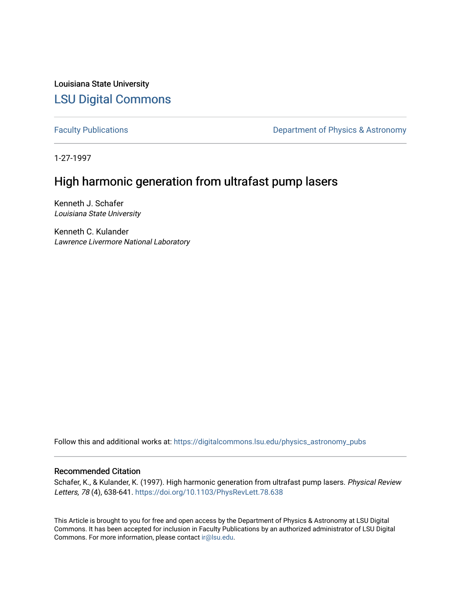Louisiana State University [LSU Digital Commons](https://digitalcommons.lsu.edu/)

[Faculty Publications](https://digitalcommons.lsu.edu/physics_astronomy_pubs) **Exercise 2** Constant Department of Physics & Astronomy

1-27-1997

# High harmonic generation from ultrafast pump lasers

Kenneth J. Schafer Louisiana State University

Kenneth C. Kulander Lawrence Livermore National Laboratory

Follow this and additional works at: [https://digitalcommons.lsu.edu/physics\\_astronomy\\_pubs](https://digitalcommons.lsu.edu/physics_astronomy_pubs?utm_source=digitalcommons.lsu.edu%2Fphysics_astronomy_pubs%2F4933&utm_medium=PDF&utm_campaign=PDFCoverPages) 

# Recommended Citation

Schafer, K., & Kulander, K. (1997). High harmonic generation from ultrafast pump lasers. Physical Review Letters, 78 (4), 638-641. <https://doi.org/10.1103/PhysRevLett.78.638>

This Article is brought to you for free and open access by the Department of Physics & Astronomy at LSU Digital Commons. It has been accepted for inclusion in Faculty Publications by an authorized administrator of LSU Digital Commons. For more information, please contact [ir@lsu.edu](mailto:ir@lsu.edu).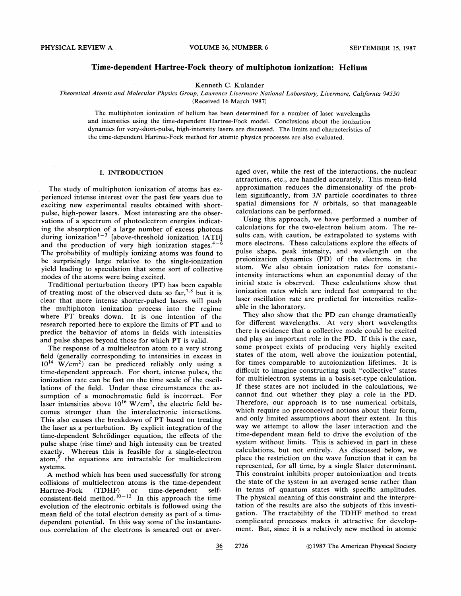## Time-dependent Hartree-Fock theory of multiphoton ionization: Helium

Kenneth C. Kulander

Theoretical Atomic and Molecular Physics Group, Lawrence Liuermore Rational Laboratory, Liuermore, California 94550

(Received 16 March 1987)

The multiphoton ionization of helium has been determined for a number of laser wavelengths and intensities using the time-dependent Hartree-Fock model. Conclusions about the ionization dynamics for very-short-pulse, high-intensity lasers are discussed. The limits and characteristics of the time-dependent Hartree-Fock method for atomic physics processes are also evaluated.

#### I. INTRODUCTION

The study of multiphoton ionization of atoms has experienced intense interest over the past few years due to exciting new experimental results obtained with shortpulse, high-power lasers. Most interesting are the observations of a spectrum of photoelectron energies indicating the absorption of a large number of excess photons during ionization<sup>1-3</sup> [above-threshold ionization (ATI)] and the production of very high ionization stages. $4-\overline{6}$ The probability of multiply ionizing atoms was found to be surprisingly large relative to the single-ionization yield leading to speculation that some sort of collective modes of the atoms were being excited.

Traditional perturbation theory (PT) has been capable of treating most of the observed data so far,  $7,8$  but it is clear that more intense shorter-pulsed lasers will push the multiphoton ionization process into the regime where PT breaks down. It is one intention of the research reported here to explore the limits of PT and to predict the behavior of atoms in fields with intensities and pulse shapes beyond those for which PT is valid.

The response of a multielectron atom to a very strong field (generally corresponding to intensities in excess in  $10^{14}$  W/cm<sup>2</sup>) can be predicted reliably only using a time-dependent approach. For short, intense pulses, the ionization rate can be fast on the time scale of the oscillations of the field. Under these circumstances the assumption of a monochromatic field is incorrect. For laser intensities above  $10^{16}$  W/cm<sup>2</sup>, the electric field becomes stronger than the interelectronic interactions. This also causes the breakdown of PT based on treating the laser as a perturbation. By explicit integration of the time-dependent Schrödinger equation, the effects of the pulse shape (rise time) and high intensity can be treated exactly. Whereas this is feasible for a single-electron atom,  $\delta$  the equations are intractable for multielectron systems.

A method which has been used successfully for strong collisions of multielectron atoms is the time-dependent Hartree-Fock (TDHF) or time-dependent selfconsistent-field method.<sup>10-12</sup> In this approach the time evolution of the electronic orbitals is followed using the mean field of the total electron density as part of a timedependent potential. In this way some of the instantaneous correlation of the electrons is smeared out or averaged over, while the rest of the interactions, the nuclear attractions, etc., are handled accurately. This mean-field approximation reduces the dimensionality of the problem significantly, from 3X particle coordinates to three spatial dimensions for  $N$  orbitals, so that manageable calculations can be performed.

Using this approach, we have performed a number of calculations for the two-electron helium atom. The results can, with caution, be extrapolated to systems with more electrons. These calculations explore the effects of pulse shape, peak intensity, and wavelength on the preionization dynamics (PD) of the electrons in the atom. We also obtain ionization rates for constantintensity interactions when an exponential decay of the initial state is observed. These calculations show that ionization rates which are indeed fast compared to the laser oscillation rate are predicted for intensities realizable in the laboratory.

They also show that the PD can change dramatically for different wavelengths. At very short wavelengths there is evidence that a collective mode could be excited and play an important role in the PD. If this is the case, some prospect exists of producing very highly excited states of the atom, well above the ionization potential, for times comparable to autoionization lifetimes. It is dificult to imagine constructing such "collective" states for multielectron systems in a basis-set-type calculation. If these states are not included in the calculations, we cannot find out whether they play a role in the PD. Therefore, our approach is to use numerical orbitals, which require no preconceived notions about their form, and only limited assumptions about their extent. In this way we attempt to allow the laser interaction and the time-dependent mean field to drive the evolution of the system without limits. This is achieved in part in these calculations, but not entirely. As discussed below, we place the restriction on the wave function that it can be represented, for all time, by a single Slater determinant. This constraint inhibits proper autoionization and treats the state of the system in an averaged sense rather than in terms of quantum states with specific amplitudes. The physical meaning of this constraint and the interpretation of the results are also the subjects of this investigation. The tractability of the TDHF method to treat complicated processes makes it attractive for development. But, since it is a relatively new method in atomic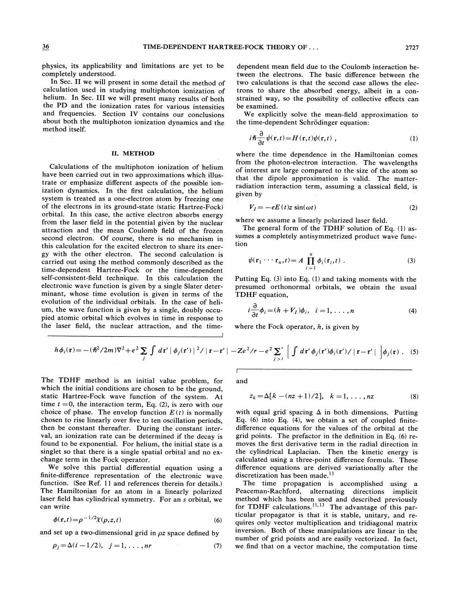physics, its applicability and limitations are yet to be completely understood. In Sec. II we will present in some detail the method of

calculation used in studying multiphoton ionization of helium. In Sec. III we will present many results of both the PD and the ionization rates for various intensities and frequencies. Section IV contains our conclusions about both the multiphoton ionization dynamics and the method itself.

## II. METHOD

Calculations of the multiphoton ionization of helium have been carried out in two approximations which illustrate or emphasize different aspects of the possible ionization dynamics. In the first calculation, the helium system is treated as a one-electron atom by freezing one of the electrons in its ground-state (static Hartree-Fock) orbital. In this case, the active electron absorbs energy from the laser field in the potential given by the nuclear attraction and the mean Coulomb field of the frozen second electron. Of course, there is no mechanism in this calculation for the excited electron to share its energy with the other electron. The second calculation is carried out using the method commonly described as the time-dependent Hartree-Fock or the time-dependent self-consistent-field technique. In this calculation the electronic wave function is given by a single Slater determinant, whose time evolution is given in terms of the evolution of the individual orbitals. In the case of helium, the wave function is given by a single, doubly occupied atomic orbital which evolves in time in response to the laser field, the nuclear attraction, and the time-

dependent mean field due to the Coulomb interaction between the electrons. The basic difference between the two calculations is that the second case allows the electrons to share the absorbed energy, albeit in a constrained way, so the possibility of collective effects can be examined.

We explicitly solve the mean-field approximation to the time-dependent Schrödinger equation:

$$
i\hbar \frac{\partial}{\partial t} \psi(\mathbf{r}, t) = H(\mathbf{r}, t) \psi(\mathbf{r}, t) , \qquad (1)
$$

where the time dependence in the Hamiltonian comes from the photon-electron interaction. The wavelengths of interest are large compared to the size of the atom so that the dipole approximation is valid. The matterradiation interaction term, assuming a classical field, is given by

$$
V_I = -eE(t)z\sin(\omega t)
$$
 (2)

where we assume a linearly polarized laser field.

The general form of the TDHF solution of Eq. (1) assumes a completely antisymmetrized product wave function

$$
\psi(\mathbf{r}_1 \cdots \mathbf{r}_n, t) = A \prod_{i=1}^n \phi_i(\mathbf{r}_i, t) .
$$
 (3)

Putting Eq. (3) into Eq. (1) and taking moments with the presumed orthonormal orbitals, we obtain the usual TDHF equation,

$$
i\frac{\partial}{\partial t}\phi_i = (h + V_I)\phi_i, \quad i = 1, \ldots, n
$$
 (4)

where the Fock operator,  $h$ , is given by

$$
h\phi_i(\mathbf{r}) = -(\hbar^2/2m)\nabla^2 + e^2 \sum_j \int d\mathbf{r}' |\phi_j(\mathbf{r}')|^2 / |\mathbf{r} - \mathbf{r}'| - Ze^2/r - e^2 \sum_{j>i} \left[ \int d\mathbf{r}' \phi_j(\mathbf{r}') \phi_i(\mathbf{r}') / |\mathbf{r} - \mathbf{r}'| \right] \phi_j(\mathbf{r})
$$
 (5)

The TDHF method is an initial value problem, for which the initial conditions are chosen to be the ground, static Hartree-Fock wave function of the system. At time  $t = 0$ , the interaction term, Eq. (2), is zero with our choice of phase. The envelop function  $E(t)$  is normally chosen to rise linearly over five to ten oscillation periods, then be constant thereafter. During the constant interval, an ionization rate can be determined if the decay is found to be exponential. For helium, the initial state is a singlet so that there is a single spatial orbital and no exchange term in the Fock operator.

We solve this partial differential equation using a finite-difference representation of the electronic wave function. (See Ref. 11 and references therein for details.) The Hamiltonian for an atom in a linearly polarized laser field has cylindrical symmetry. For an s orbital, we can write

$$
\phi(\mathbf{r},t) = \rho^{-1/2} \chi(\rho,z,t) \tag{6}
$$

and set up a two-dimensional grid in  $\rho z$  space defined by

$$
\rho_j = \Delta(i - 1/2), \quad j = 1, \dots, nr \tag{7}
$$

and

$$
z_k = \Delta[k - (nz + 1)/2], \quad k = 1, \dots, nz
$$
 (8)

with equal grid spacing  $\Delta$  in both dimensions. Putting Eq. (6) into Eq. (4), we obtain a set of coupled finitedifference equations for the values of the orbital at the grid points. The prefactor in the definition in Eq. (6) removes the first derivative term in the radial direction in the cylindrical Laplacian. Then the kinetic energy is calculated using a three-point difference formula. These difference equations are derived variationally after the discretization has been made. $^{13}$ 

The time propagation is accomplished using a Peaceman-Rachford, alternating directions implicit method which has been used and described previously method which has been used and described previously<br>or TDHF calculations.<sup>11,13</sup> The advantage of this particular propagator is that it is stable, unitary, and requires only vector multiplication and tridiagonal matrix inversion. Both of these manipulations are linear in the number of grid points and are easily vectorized. In fact, we find that on a vector machine, the computation time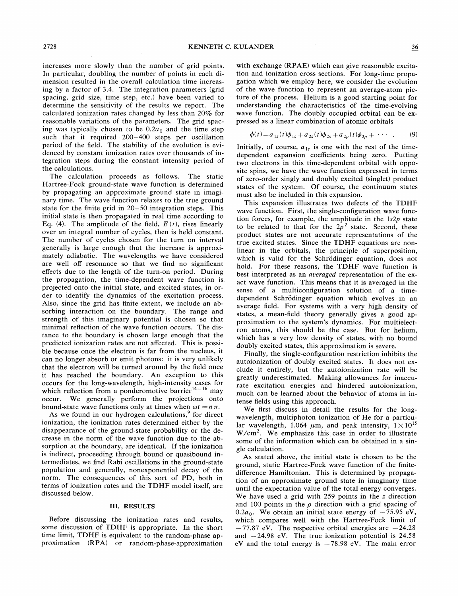increases more slowly than the number of grid points. In particular, doubling the number of points in each dimension resulted in the overall calculation time increasing by a factor of 3.4. The integration parameters (grid spacing, grid size, time step, etc.) have been varied to determine the sensitivity of the results we report. The calculated ionization rates changed by less than 20% for reasonable variations of the parameters. The grid spacing was typically chosen to be  $0.2a_0$  and the time step such that it required 200—400 steps per oscillation period of the field. The stability of the evolution is evidenced by constant ionization rates over thousands of integration steps during the constant intensity period of the calculations.

The calculation proceeds as follows. The static Hartree-Fock ground-state wave function is determined by propagating an approximate ground state in imaginary time. The wave function relaxes to the true ground state for the finite grid in 20—50 integration steps. This initial state is then propagated in real time according to Eq. (4). The amplitude of the field,  $E(t)$ , rises linearly over an integral number of cycles, then is held constant. The number of cycles chosen for the turn on interval generally is large enough that the increase is approximately adiabatic. The wavelengths we have considered are well off resonance so that we find no significant effects due to the length of the turn-on period. During the propagation, the time-dependent wave function is projected onto the initial state, and excited states, in order to identify the dynamics of the excitation process. Also, since the grid has finite extent, we include an absorbing interaction on the boundary. The range and strength of this imaginary potential is chosen so that minimal reflection of the wave function occurs. The distance to the boundary is chosen large enough that the predicted ionization rates are not affected. This is possible because once the electron is far from the nucleus, it can no longer absorb or emit photons: it is very unlikely that the electron will be turned around by the field once it has reached the boundary. An exception to this occurs for the long-wavelength, high-intensity cases for which reflection from a ponderomotive barrier<sup>14-16</sup> may occur. We generally perform the projections onto bound-state wave functions only at times when  $\omega t = n \pi$ .

As we found in our hydrogen calculations, $9$  for direct ionization, the ionization rates determined either by the disappearance of the ground-state probability or the decrease in the norm of the wave function due to the absorption at the boundary, are identical. If the ionization is indirect, proceeding through bound or quasibound intermediates, we find Rabi oscillations in the ground-state population and generally, nonexponential decay of the norm. The consequences of this sort of PD, both in terms of ionization rates and the TDHF model itself, are discussed below.

#### III. RESULTS

Before discussing the ionization rates and results, some discussion of TDHF is appropriate. In the short time limit, TDHF is equivalent to the random-phase approximation (RPA) or random-phase-approximation

with exchange (RPAE) which can give reasonable excitation and ionization cross sections. For long-time propagation which we employ-here, we consider the evolution of the wave function to represent an average-atom picture of the process. Helium is a good starting point for understanding the characteristics of the time-evolving wave function. The doubly occupied orbital can be expressed as a linear combination of atomic orbitals

$$
\phi(t) = a_{1s}(t)\phi_{1s} + a_{2s}(t)\phi_{2s} + a_{2p}(t)\phi_{2p} + \cdots
$$
 (9)

Initially, of course,  $a_{1s}$  is one with the rest of the timedependent expansion coefficients being zero. Putting two electrons in this time-dependent orbital with opposite spins, we have the wave function expressed in terms of zero-order singly and doubly excited (singlet) product states of the system. Of course, the continuum states must also be included in this expansion.

This expansion illustrates two defects of the TDHF wave function. First, the single-configuration wave function forces, for example, the amplitude in the  $1s2p$  state to be related to that for the  $2p^2$  state. Second, these product states are not accurate representations of the true excited states. Since the TDHF equations are nonlinear in the orbitals, the principle of superposition, which is valid for the Schrödinger equation, does not hold. For these reasons, the TDHF wave function is best interpreted as an averaged representation of the exact wave function. This means that it is averaged in the sense of a multiconfiguration solution of a timedependent Schrödinger equation which evolves in an average field. For systems with a very high density of states, a mean-field theory generally gives a good approximation to the system's dynamics. For multielectron atoms, this should be the case. But for helium, which has a very low density of states, with no bound doubly excited states, this approximation is severe.

Finally, the single-configuration restriction inhibits the autoionization of doubly excited states. It does not exclude it entirely, but the autoionization rate will be greatly underestimated. Making allowances for inaccurate excitation energies and hindered autoionization, much can be learned about the behavior of atoms in intense fields using this approach.

We first discuss in detail the results for the longwavelength, multiphoton ionization of He for a particular wavelength, 1.064  $\mu$ m, and peak intensity,  $1 \times 10^{15}$  $W/cm<sup>2</sup>$ . We emphasize this case in order to illustrate some of the information which can be obtained in a single calculation.

As stated above, the initial state is chosen to be the ground, static Hartree-Fock wave function of the finitedifference Hamiltonian. This is determined by propagation of an approximate ground state in imaginary time until the expectation value of the total energy converges. We have used a grid with 259 points in the z direction and 100 points in the  $\rho$  direction with a grid spacing of 0.2 $a_0$ . We obtain an initial state energy of  $-75.95$  eV, which compares well with the Hartree-Fock limit of  $-77.87$  eV. The respective orbital energies are  $-24.28$ and  $-24.98$  eV. The true ionization potential is 24.58 eV and the total energy is  $-78.98$  eV. The main error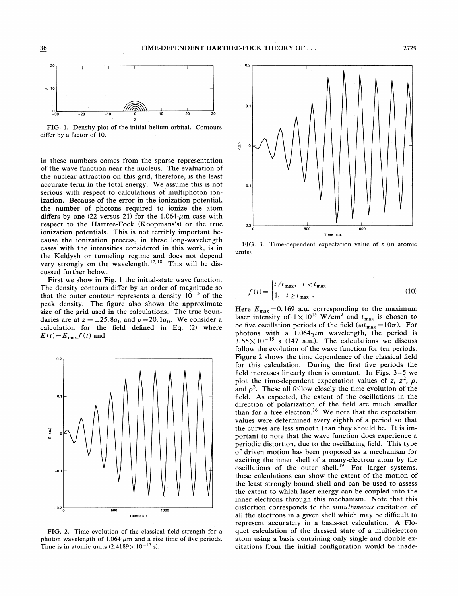

FIG. 1. Density plot of the initial helium orbital. Contours differ by a factor of 10.

in these numbers comes from the sparse representation of the wave function near the nucleus. The evaluation of the nuclear attraction on this grid, therefore, is the least accurate term in the total energy. We assume this is not serious with respect to calculations of multiphoton ionization. Because of the error in the ionization potential, the number of photons required to ionize the atom differs by one (22 versus 21) for the 1.064- $\mu$ m case with respect to the Hartree-Fock (Koopmans's) or the true ionization potentials. This is not terribly important because the ionization process, in these long-wavelength cases with the intensities considered in this work, is in the Keldysh or tunneling regime and does not depend the Keldysh or tunneling regime and does not depend<br>very strongly on the wavelength.<sup>17,18</sup> This will be discussed further below.

First we show in Fig. <sup>1</sup> the initial-state wave function. The density contours differ by an order of magnitude so that the outer contour represents a density  $10^{-5}$  of the peak density. The figure also shows the approximate size of the grid used in the calculations. The true boundaries are at  $z = \pm 25.8a_0$  and  $\rho = 20.1a_0$ . We consider a calculation for the field defined in Eq. (2) where  $E(t)=E_{\text{max}}f(t)$  and



FIG. 2. Time evolution of the classical field strength for a photon wavelength of 1.064  $\mu$ m and a rise time of five periods. Time is in atomic units  $(2.4189 \times 10^{-17} \text{ s})$ .



FIG. 3. Time-dependent expectation value of z (in atomic units).

$$
f(t) = \begin{cases} t/t_{\text{max}}, & t < t_{\text{max}} \\ 1, & t \ge t_{\text{max}} \end{cases} \tag{10}
$$

Here  $E_{\text{max}} = 0.169$  a.u. corresponding to the maximum aser intensity of  $1 \times 10^{15}$  W/cm<sup>2</sup> and  $t_{\text{max}}$  is chosen to be five oscillation periods of the field ( $\omega t_{\text{max}}=10\pi$ ). For photons with a 1.064- $\mu$ m wavelength, the period is  $3.55 \times 10^{-15}$  s (147 a.u.). The calculations we discuss follow the evolution of the wave function for ten periods. Figure 2 shows the time dependence of the classical field for this calculation. During the first five periods the field increases linearly then is constant. In Figs. 3—<sup>5</sup> we plot the time-dependent expectation values of z,  $z^2$ ,  $\rho$ , and  $\rho^2$ . These all follow closely the time evolution of the field. As expected, the extent of the oscillations in the direction of polarization of the field are much smaller than for a free electron.<sup>16</sup> We note that the expectation values were determined every eighth of a period so that the curves are less smooth than they should be. It is important to note that the wave function does experience a periodic distortion, due to the oscillating field. This type of driven motion has been proposed as a mechanism for exciting the inner shell of a many-electron atom by the oscillations of the outer shell.<sup>19</sup> For larger systems, these calculations can show the extent of the motion of the least strongly bound shell and can be used to assess the extent to which laser energy can be coupled into the inner electrons through this mechanism. Note that this distortion corresponds to the *simultaneous* excitation of all the electrons in a given shell which may be difficult to represent accurately in a basis-set calculation. A Floquet calculation of the dressed state of a multielectron atom using a basis containing only single and double excitations from the initial configuration would be inade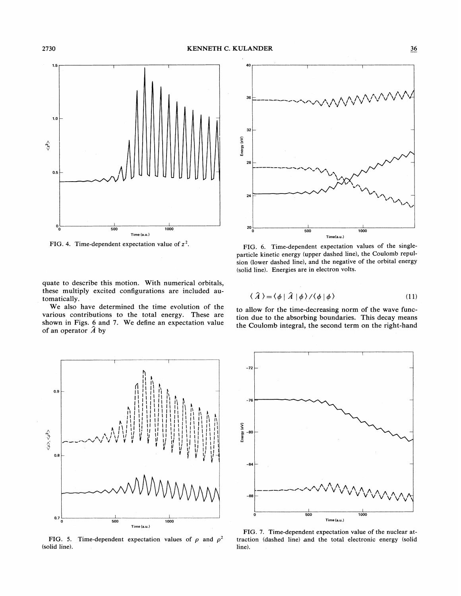tomatically.

of an operator  $\hat{A}$  by



FIG. 4. Time-dependent expectation value of  $z^2$ .

quate to describe this motion. With numerical orbitals, these multiply excited configurations are included au-

We also have determined the time evolution of the various contributions to the total energy. These are shown in Figs. 6 and 7. We define an expectation value



FIG. 6. Time-dependent expectation values of the singleparticle kinetic energy (upper dashed line), the Coulomb repulsion (lower dashed line), and the negative of the orbital energy (solid line). Energies are in electron volts.

$$
\langle \hat{A} \rangle = \langle \phi | \hat{A} | \phi \rangle / \langle \phi | \phi \rangle
$$
 (11)

to allow for the time-decreasing norm of the wave function due to the absorbing boundaries. This decay means the Coulomb integral, the second term on the right-hand



FIG. 5. Time-dependent expectation values of  $\rho$  and  $\rho^2$ (solid line).



FIG. 7. Time-dependent expectation value of the nuclear attraction (dashed line) and the total electronic energy (solid line).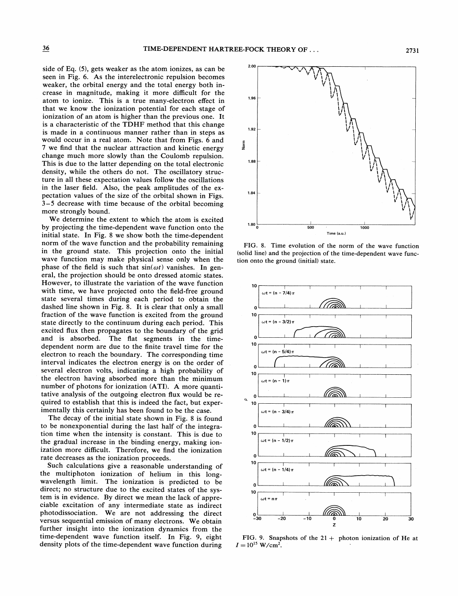side of Eq. (5), gets weaker as the atom ionizes, as can be seen in Fig. 6. As the interelectronic repulsion becomes weaker, the orbital energy and the total energy both increase in magnitude, making it more dificult for the atom to ionize. This is a true many-electron effect in that we know the ionization potential for each stage of ionization of an atom is higher than the previous one. It is a characteristic of the TDHF method that this change is made in a continuous manner rather than in steps as would occur in a real atom. Note that from Figs. 6 and 7 we find that the nuclear attraction and kinetic energy change much more slowly than the Coulomb repulsion. This is due to the latter depending on the total electronic density, while the others do not. The oscillatory structure in all these expectation values follow the oscillations in the laser field. Also, the peak amplitudes of the expectation values of the size of the orbital shown in Figs. 3—<sup>5</sup> decrease with time because of the orbital becoming more strongly bound.

We determine the extent to which the atom is excited by projecting the time-dependent wave function onto the initial state. In Fig. 8 we show both the time-dependent norm of the wave function and the probability remaining in the ground state. This projection onto the initial wave function may make physical sense only when the phase of the field is such that  $sin(\omega t)$  vanishes. In general, the projection should be onto dressed atomic states. However, to illustrate the variation of the wave function with time, we have projected onto the field-free ground state several times during each period to obtain the dashed line shown in Fig. 8. It is clear that only a small fraction of the wave function is excited from the ground state directly to the continuum during each period. This excited flux then propagates to the boundary of the grid and is absorbed. The flat segments in the timedependent norm are due to the finite travel time for the electron to reach the boundary. The corresponding time interval indicates the electron energy is on the order of several electron volts, indicating a high probability of the electron having absorbed more than the minimum number of photons for ionization (ATI). A more quantitative analysis of the outgoing electron flux would be required to establish that this is indeed the fact, but experimentally this certainly has been found to be the case.

The decay of the initial state shown in Fig. 8 is found to be nonexponential during the last half of the integration time when the intensity is constant. This is due to the gradual increase in the binding energy, making ionization more dificult. Therefore, we find the ionization rate decreases as the ionization proceeds.

Such calculations give a reasonable understanding of the multiphoton ionization of helium in this longwavelength limit. The ionization is predicted to be direct; no structure due to the excited states of the system is in evidence. By direct we mean the lack of appreciable excitation of any intermediate state as indirect photodissociation. We are not addressing the direct versus sequential emission of many electrons. We obtain further insight into the ionization dynamics from the time-dependent wave function itself. In Fig. 9, eight density plots of the time-dependent wave function during



FIG. 8. Time evolution of the norm of the wave function (solid line) and the projection of the time-dependent wave function onto the ground (initial) state.



FIG. 9. Snapshots of the  $21 +$  photon ionization of He at  $I = 10^{15}$  W/cm<sup>2</sup>.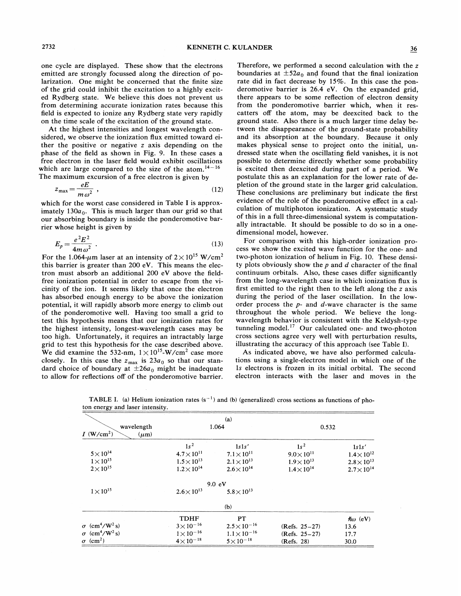one cycle are displayed. These show that the electrons emitted are strongly focussed along the direction of polarization. One might be concerned that the finite size of the grid could inhibit the excitation to a highly excited Rydberg state. We believe this does not prevent us from determining accurate ionization rates because this field is expected to ionize any Rydberg state very rapidly on the time scale of the excitation of the ground state.

At the highest intensities and longest wavelength considered, we observe the ionization flux emitted toward either the positive or negative z axis depending on the phase of the field as shown in Fig. 9. In these cases a free electron in the laser field would exhibit oscillations which are large compared to the size of the atom.  $14-16$ The maximum excursion of a free electron is given by

$$
z_{\text{max}} = \frac{eE}{m\omega^2} \tag{12}
$$

which for the worst case considered in Table I is approximately  $130a_0$ . This is much larger than our grid so that our absorbing boundary is inside the ponderomotive barrier whose height is given by

$$
E_p = \frac{e^2 E^2}{4m\omega^2} \tag{13}
$$

For the 1.064- $\mu$ m laser at an intensity of 2 $\times$  10<sup>15</sup> W/cm<sup>2</sup> this barrier is greater than 200 eV. This means the electron must absorb an additional 200 eV above the fieldfree ionization potential in order to escape from the vicinity of the ion. It seems likely that once the electron has absorbed enough energy to be above the ionization potential, it will rapidly absorb more energy to climb out of the ponderomotive well. Having too small a grid to test this hypothesis means that our ionization rates for the highest intensity, longest-wavelength cases may be too high. Unfortunately, it requires an intractably large grid to test this hypothesis for the case described above. We did examine the 532-nm,  $1 \times 10^{15}$ -W/cm<sup>2</sup> case more we did examine the 332-nm,  $1 \times 10^{-5}$  W/cm<sup>-</sup> case more<br>closely. In this case the  $z_{\text{max}}$  is  $23a_0$  so that our stan-<br>dard choice of boundary at  $\pm 26a_0$  might be inadequate to allow for refIections ofF of the ponderomotive barrier. Therefore, we performed a second calculation with the z boundaries at  $\pm 52a_0$  and found that the final ionization rate did in fact decrease by 15%. In this case the ponderomotive barrier is 26.4 eV. On the expanded grid, there appears to be some reflection of electron density from the ponderomotive barrier which, when it rescatters ofF the atom, may be deexcited back to the ground state. Also there is a much larger time delay between the disappearance of the ground-state probability and its absorption at the boundary. Because it only makes physical sense to project onto the initial, undressed state when the oscillating field vanishes, it is not possible to determine directly whether some probability is excited then deexcited during part of a period. We postulate this as an explanation for the lower rate of depletion of the ground state in the larger grid calculation. These conclusions are preliminary but indicate the first evidence of the role of the ponderomotive efFect in a calculation of multiphoton ionization. A systematic study of this in a full three-dimensional system is computationally intractable. It should be possible to do so in a onedimensional model, however.

For comparison with this high-order ionization process we show the excited wave function for the one- and two-photon ionization of helium in Fig. 10. These density plots obviously show the  $p$  and  $d$  character of the final continuum orbitals. Also, these cases differ significantly from the long-wavelength case in which ionization flux is first emitted to the right then to the left along the z axis during the period of the laser oscillation. In the loworder process the  $p$ - and  $d$ -wave character is the same throughout the whole period. We believe the longwavelength behavior is consistent with the Keldysh-type tunneling model.<sup>17</sup> Our calculated one- and two-photon cross sections agree very well with perturbation results, illustrating the accuracy of this approach (see Table I).

As indicated above, we have also performed calculations using a single-electron model in which one of the 1s electrons is frozen in its initial orbital. The second electron interacts with the laser and moves in the

| wavelength<br>I (W/cm <sup>2</sup> )<br>$(\mu m)$ | (a)<br>1.064                                           |                                                       | 0.532                                                       |                                                   |
|---------------------------------------------------|--------------------------------------------------------|-------------------------------------------------------|-------------------------------------------------------------|---------------------------------------------------|
| $5\times10^{14}$<br>$1\times 10^{15}$             | $1s^2$<br>$4.7 \times 10^{11}$<br>$1.5 \times 10^{13}$ | 1s1s'<br>$7.1 \times 10^{11}$<br>$2.1 \times 10^{13}$ | 1s <sup>2</sup><br>$9.0\times10^{11}$<br>$1.9\times10^{13}$ | 1s1s'<br>$1.4\times10^{12}$<br>$2.8\times10^{13}$ |
| $2\times 10^{15}$<br>$1\times 10^{15}$            | $1.2\times10^{14}$<br>$2.6\times10^{13}$               | $2.6\times10^{14}$<br>9.0 eV<br>$5.8\times10^{13}$    | $1.4 \times 10^{14}$                                        | $2.7\times10^{14}$                                |
|                                                   |                                                        | (b)                                                   |                                                             |                                                   |
|                                                   | <b>TDHF</b>                                            | <b>PT</b>                                             |                                                             | $\hbar\omega$ (eV)                                |
| $\sigma$ (cm <sup>4</sup> /W <sup>2</sup> s)      | $3\times10^{-16}$                                      | $2.5\times10^{-16}$                                   | $(Refs. 25-27)$                                             | 13.6                                              |
| $\sigma$ (cm <sup>4</sup> /W <sup>2</sup> s)      | $1\times 10^{-16}$                                     | $1.1 \times 10^{-16}$                                 | $(Refs. 25-27)$                                             | 17.7                                              |
| $\sigma$ (cm <sup>2</sup> )                       | $4\times10^{-18}$                                      | $5\times10^{-18}$                                     | (Refs. 28)                                                  | 30.0                                              |

TABLE I. (a) Helium ionization rates ( $s^{-1}$ ) and (b) (generalized) cross sections as functions of photon energy and laser intensity.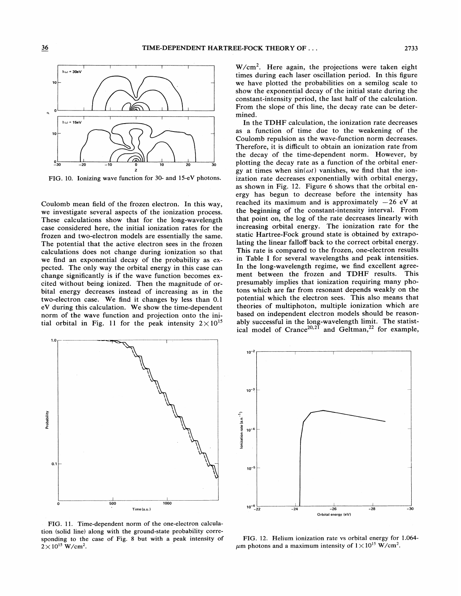

FIG. 10. Ionizing wave function for 30- and 15-eV photons.

Coulomb mean field of the frozen electron. In this way, we investigate several aspects of the ionization process. These calculations show that for the long-wavelength case considered here, the initial ionization rates for the frozen and two-electron models are essentially the same. The potential that the active electron sees in the frozen calculations does not change during ionization so that we find an exponential decay of the probability as expected. The only way the orbital energy in this case can change significantly is if the wave function becomes excited without being ionized. Then the magnitude of orbita1 energy decreases instead of increasing as in the two-electron case. We find it changes by less than 0.<sup>1</sup> eV during this calculation. We show the time-dependent norm of the wave function and projection onto the initial orbital in Fig. 11 for the peak intensity  $2 \times 10^{15}$ 



FIG. 11. Time-dependent norm of the one-electron calculation (solid line) along with the ground-state probability corresponding to the case of Fig. 8 but with a peak intensity of  $2 \times 10^{15}$  W/cm<sup>2</sup>.

 $W/cm<sup>2</sup>$ . Here again, the projections were taken eight times during each laser oscillation period. In this figure we have plotted the probabilities on a semilog scale to show the exponential decay of the initial state during the constant-intensity period, the last half of the calculation. From the slope of this line, the decay rate can be determined.

In the TDHF calculation, the ionization rate decreases as a function of time due to the weakening of the Coulomb repulsion as the wave-function norm decreases. Therefore, it is difficult to obtain an ionization rate from the decay of the time-dependent norm. However, by plotting the decay rate as a function of the orbital energy at times when  $sin(\omega t)$  vanishes, we find that the ionization rate decreases exponentially with orbital energy, as shown in Fig. 12. Figure 6 shows that the orbital energy has begun to decrease before the intensity has reached its maximum and is approximately  $-26$  eV at the beginning of the constant-intensity interval. From that point on, the log of the rate decreases linearly with increasing orbital energy. The ionization rate for the static Hartree-Fock ground state is obtained by extrapolating the linear falloff back to the correct orbital energy. This rate is compared to the frozen, one-electron results in Table I for several wavelengths and peak intensities. In the long-wavelength regime, we find excellent agreement between the frozen and TDHF results. This presumably implies that ionization requiring many photons which are far from resonant depends weakly on the potential which the electron sees. This also means that theories of multiphoton, multiple ionization which are based on independent electron models should be reasonably successful in the long-wavelength limit. The statistcal model of Crance<sup>20,21</sup> and Geltman,<sup>22</sup> for example,



FIG. 12. Helium ionization rate vs orbital energy for 1.064- $\mu$ m photons and a maximum intensity of  $1 \times 10^{15}$  W/cm<sup>2</sup>.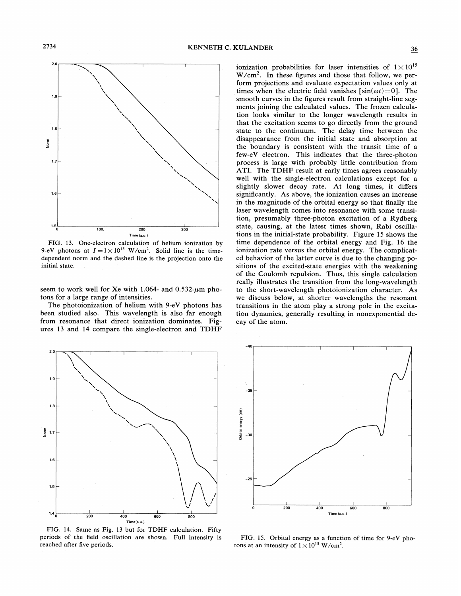

FIG. 13. One-electron calculation of helium ionization by 9-eV photons at  $I = 1 \times 10^{15}$  W/cm<sup>2</sup>. Solid line is the timedependent norm and the dashed line is the projection onto the initial state.

seem to work well for Xe with 1.064- and 0.532- $\mu$ m photons for a large range of intensities.

The photoionization of helium with 9-eV photons has been studied also. This wavelength is also far enough from resonance that direct ionization dominates. Figures 13 and 14 compare the single-electron and TDHF

ionization probabilities for laser intensities of  $1 \times 10^{15}$  $W/cm<sup>2</sup>$ . In these figures and those that follow, we perform projections and evaluate expectation values only at times when the electric field vanishes [sin( $\omega t$ ) = 0]. The smooth curves in the figures result from straight-line segments joining the calculated values. The frozen calculation looks similar to the longer wavelength results in that the excitation seems to go directly from the ground state to the continuum. The delay time between the disappearance from the initial state and absorption at the boundary is consistent with the transit time of a few-eV electron. This indicates that the three-photon process is large with probably little contribution from ATI. The TDHF result at early times agrees reasonably well with the single-electron calculations except for a slightly slower decay rate. At long times, it differs significantly. As above, the ionization causes an increase in the magnitude of the orbital energy so that finally the laser wavelength comes into resonance with some transition, presumably three-photon excitation of a Rydberg state, causing, at the latest times shown, Rabi oscillations in the initial-state probability. Figure 15 shows the time dependence of the orbital energy and Fig. 16 the ionization rate versus the orbital energy. The complicated behavior of the latter curve is due to the changing positions of the excited-state energies with the weakening of the Coulomb repulsion. Thus, this single calculation really illustrates the transition from the long-wavelength to the short-wavelength photoionization character. As we discuss below, at shorter wavelengths the resonant transitions in the atom play a strong pole in the excitation dynamics, generally resulting in nonexponential decay of the atom.



FIG. 14. Same as Fig. 13 but for TDHF calculation. Fifty periods of the field oscillation are shown. Full intensity is reached after five periods.



FIG. 15. Orbital energy as a function of time for 9-eV photons at an intensity of  $1 \times 10^{15}$  W/cm<sup>2</sup>.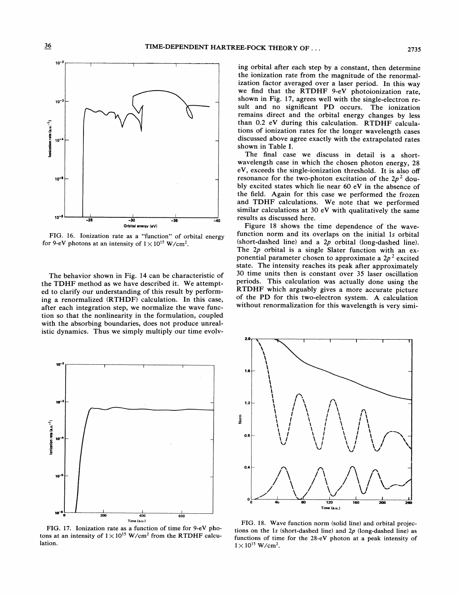

FIG. 16. Ionization rate as a "function" of orbital energy for 9-eV photons at an intensity of  $1 \times 10^{15}$  W/cm<sup>2</sup>.

The behavior shown in Fig. 14 can be characteristic of the TDHF method as we have described it. We attempted to clarify our understanding of this result by performing a renormalized (RTHDF) calculation. In this case, after each integration step, we normalize the wave function so that the nonlinearity in the formulation, coupled with the absorbing boundaries, does not produce unrealistic dynamics. Thus we simply multiply our time evolv-



The final case we discuss in detail is a shortwavelength case in which the chosen photon energy, 28 eV, exceeds the single-ionization threshold. It is also off resonance for the two-photon excitation of the  $2p<sup>2</sup>$  doubly excited states which lie near 60 eV in the absence of the field. Again for this case we performed the frozen and TDHF calculations. We note that we performed similar calculations at 30 eV with qualitatively the same results as discussed here.

Figure 18 shows the time dependence of the wavefunction norm and its overlaps on the initial 1s orbital (short-dashed line) and a 2p orbital (long-dashed line). The 2p orbital is a single Slater function with an exponential parameter chosen to approximate a  $2p<sup>2</sup>$  excited state. The intensity reaches its peak after approximately 30 time units then is constant over 35 laser oscillation periods. This calculation was actually done using the RTDHF which arguably gives a more accurate picture of the PD for this two-electron system. A calculation without renormalization for this wavelength is very simi-



FIG. 17. Ionization rate as a function of time for 9-eV photons at an intensity of  $1 \times 10^{15}$  W/cm<sup>2</sup> from the RTDHF calculation.



FIG. 18. Wave function norm (solid line) and orbital projections on the 1s (short-dashed line) and  $2p$  (long-dashed line) as functions of time for the 28-eV photon at a peak intensity of  $1 \times 10^{15}$  W/cm<sup>2</sup>.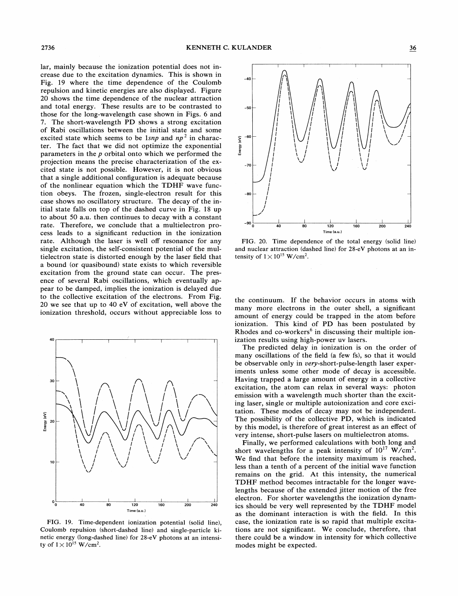lar, mainly because the ionization potential does not increase due to the excitation dynamics. This is shown in dependence of the Co inetic energies are also displayed dependence of the nuclear attra otal energy. These results are to be contrasted to ong-wavelength case shown in Figs. 6 an e short-wavelength PD shows a strong excitation of Rabi oscillations between the initial state and some hich seems to be  $1snp$  and  $np^2$  in char ter. The fact that we did not optimize the exponential arameters in the p orbital onto w projection means the precise characterization of the exr, it is not obvious e additional configuration is adeq ion which the TDHF wave funccase shows no oscillatory structure. The dece frozen, single-electron result for itial state falls on top of the dashed curve in Fig ut 50 a.u. then continues to decay cess leads to a significant reduction in the id rate. Therefore, we conclude that a multielectron prosingle excitation, the self-consistent potential of the mullectron state is distorted enough by the laser field that rate. Although the laser is well off resonance for any excitation from the ground state or quasibound) state exists to which reversible ence of several Rabi oscillations, which eventually apd, implies the ionization is delayed due we see that up to 40 eV of excitation to the collective excitation of the electrons. From Fig. urs without appreciable loss to



FIG. 19. Time-dependent ionization potential (solid line), lsion (short-dashed line) and single-particle kiy (long-dashed line) for 28-eV  $W/cm<sup>2</sup>$ . eV photons at an intensi-



FIG. 20. Time depend and nuclear attraction (dashed line) for 28-eV photons at an intensity of  $1 \times 10^{15}$  W/cm<sup>2</sup>.

the continuum. If the behavior occurs in atoms with many more electrons in the outer shell, a significant amount of energy could be trapped in the atom before ionization. This kind of PD has been postulated by Rhodes and co-workers<sup>6</sup> in discussing their multiple ionization results using high-power uv lasers.<br>The predicted delay in ionization is on the order of

many oscillations of the field (a few fs), so that it would pulse-length laser expe s unless some other mode of decay is accessible. Having trapped a large amount of excitation, the atom can relax in several ways: photon emission with a wavelength much shorter than the exciting laser, single or multiple autoionization and core excitation. These modes of decay may not be independent. great interest as an effect of very intense, short-pulse lasers on multielectron atoms.

Finally, we performed short wavelengths for a peak intensity of  $10^{17}$  W/cm<sup>2</sup>.<br>We find that before the intensity maximum is reached, less than a tenth of a percent of the initial wave function remains on the grid. At this intensity, the numerical TDHF method becomes intractable for the longer waveextended jitter motion of n. For shorter wavelengths the ionizatio build be very well represented by the TDHF model s with the field. In th o rapid that multiple excit tions are not significant. We conclude, therefore, that n intensity for which collective modes might be expected.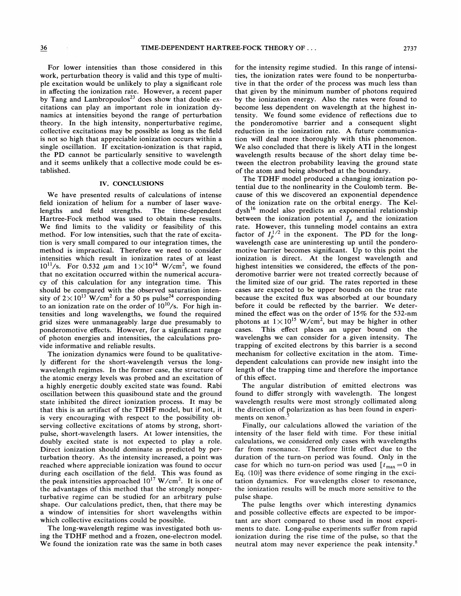For lower intensities than those considered in this work, perturbation theory is valid and this type of multiple excitation would be unlikely to play a significant role in affecting the ionization rate. However, a recent paper by Tang and Lambropoulos<sup>23</sup> does show that double excitations can play an important role in ionization dynamics at intensities beyond the range of perturbation theory. In the high intensity, nonperturbative regime, collective excitations may be possible as long as the field is not so high that appreciable ionization occurs within a single oscillation. If excitation-ionization is that rapid, the PD cannot be particularly sensitive to wavelength and it seems unlikely that a collective mode could be established.

#### IV. CONCLUSIONS

We have presented results of calculations of intense field ionization of helium for a number of laser wave-<br>lengths and field strengths. The time-dependent lengths and field strengths. Hartree-Pock method was used to obtain these results. We find limits to the validity or feasibility of this method. For low intensities, such that the rate of excitation is very small compared to our integration times, the method is impractical. Therefore we need to consider intensities which result in ionization rates of at least  $10^{11}/s$ . For 0.532  $\mu$ m and  $1 \times 10^{14}$  W/cm<sup>2</sup>, we found that no excitation occurred within the numerical accuracy of this calculation for any integration time. This should be compared with the observed saturation intensity of  $2\times 10^{13}$  W/cm<sup>2</sup> for a 50 ps pulse<sup>24</sup> correspondin to an ionization rate on the order of  $10^{10}/s$ . For high intensities and long wavelengths, we found the required grid sizes were unmanageably, large due presumably to ponderomotive effects. However, for a significant range of photon energies and intensities, the calculations provide informative and reliable results.

The ionization dynamics were found to be qualitatively different for the short-wavelength versus the longwavelength regimes. In the former case, the structure of the atomic energy levels was probed and an excitation of a highly energetic doubly excited state was found. Rabi oscillation between this quasibound state and the ground state inhibited the direct ionization process. It may be that this is an artifact of the TDHF model, but if not, it is very encouraging with respect to the possibility observing collective excitations of atoms by strong, shortpulse, short-wavelength lasers. At lower intensities, the doubly excited state is not expected to play a role. Direct ionization should dominate as predicted by perturbation theory. As the intensity increased, a point was reached where appreciable ionization was found to occur during each oscillation of the field. This was found as the peak intensities approached  $10^{17}$  W/cm<sup>2</sup>. It is one of the advantages of this method that the strongly nonperturbative regime can be studied for an arbitrary pulse shape. Our calculations predict, then, that there may be a window of intensities for short wavelengths within which collective excitations could be possible.

The long-wavelength regime was investigated both using the TDHF method and a frozen, one-electron model. We found the ionization rate was the same in both cases

for the intensity regime studied. In this range of intensities, the ionization rates were found to be nonperturbative in that the order of the process was much less than that given by the minimum number of photons required by the ionization energy. Also the rates were found to become less dependent on wavelength at the highest intensity. We found some evidence of reflections due to the ponderomotive barrier and a consequent slight reduction in the ionization rate. A future communication will deal more thoroughly with this phenomenon. We also concluded that there is likely ATI in the longest wavelength results because of the short delay time between the electron probability leaving the ground state of the atom and being absorbed at the boundary.

The TDHF model produced a changing ionization potential due to the nonlinearity in the Coulomb term. Because of this we discovered an exponential dependence of the ionization rate on the orbital energy. The Keldysh<sup>16</sup> model also predicts an exponential relationship between the ionization potential  $I_p$  and the ionization rate. However, this tunneling model contains an extra factor of  $I_p^{1/2}$  in the exponent. The PD for the longwavelength case are uninteresting up until the ponderomotive barrier becomes significant. Up to this point the ionization is direct. At the longest wavelength and highest intensities we considered, the effects of the ponderomotive barrier were not treated correctly because of the limited size of our grid. The rates reported in these cases are expected to be upper bounds on the true rate because the excited flux was absorbed at our boundary before it could be reflected by the barrier. We determined the effect was on the order of 15% for the 532-nm photons at  $1\times10^{15}$  W/cm<sup>2</sup>, but may be higher in other cases. This effect places an upper bound on the wavelenghs we can consider for a.given intensity. The trapping of excited electrons by this barrier is a second mechanism for collective excitation in the atom. Timedependent calculations can provide new insight into the length of the trapping time and therefore the importance of this effect.

The angular distribution of emitted electrons was found to differ strongly with wavelength. The longest wavelength results were most strongly collimated along the direction of polarization as has been found in experiments on xenon.

Finally, our calculations allowed the variation of the intensity of the laser field with time. For these initial calculations, we considered only cases with wavelengths far from resonance. Therefore little effect due to the duration of the turn-on period was found. Only in the case for which no turn-on period was used  $t_{\text{max}} = 0$  in Eq. (10)] was there evidence of some ringing in the excitation dynamics. For wavelengths closer to resonance, the ionization results will be much more sensitive to the pulse shape.

The pulse lengths over which interesting dynamics and possible collective effects are expected to be important are short compared to those used in most experiments to date. Long-pulse experiments suffer from rapid ionization during the rise time of the pulse, so that the neutral atom may never experience the peak intensity.<sup>8</sup>